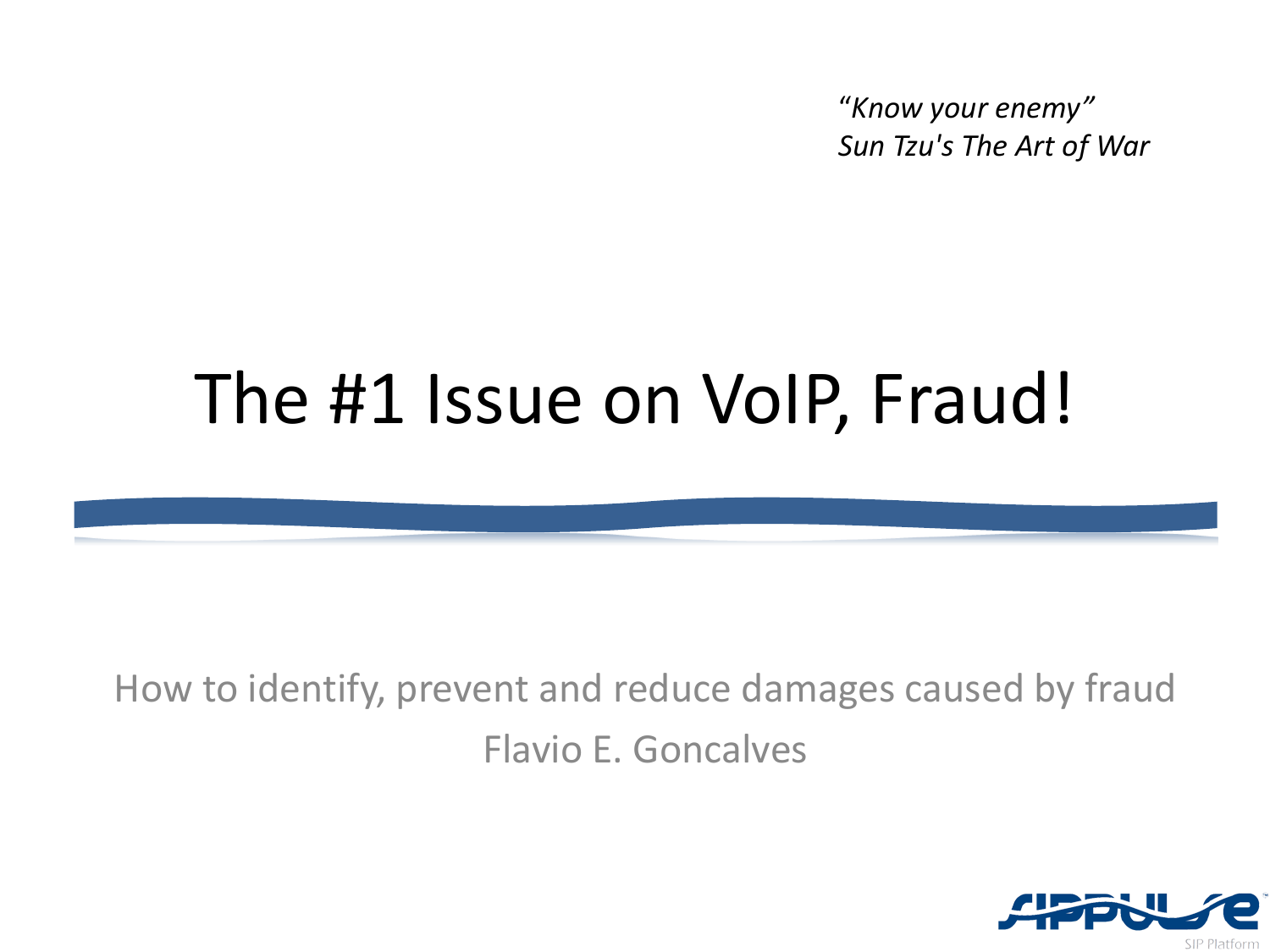"*Know your enemy" Sun Tzu's The Art of War*

### The #1 Issue on VoIP, Fraud!

How to identify, prevent and reduce damages caused by fraud Flavio E. Goncalves

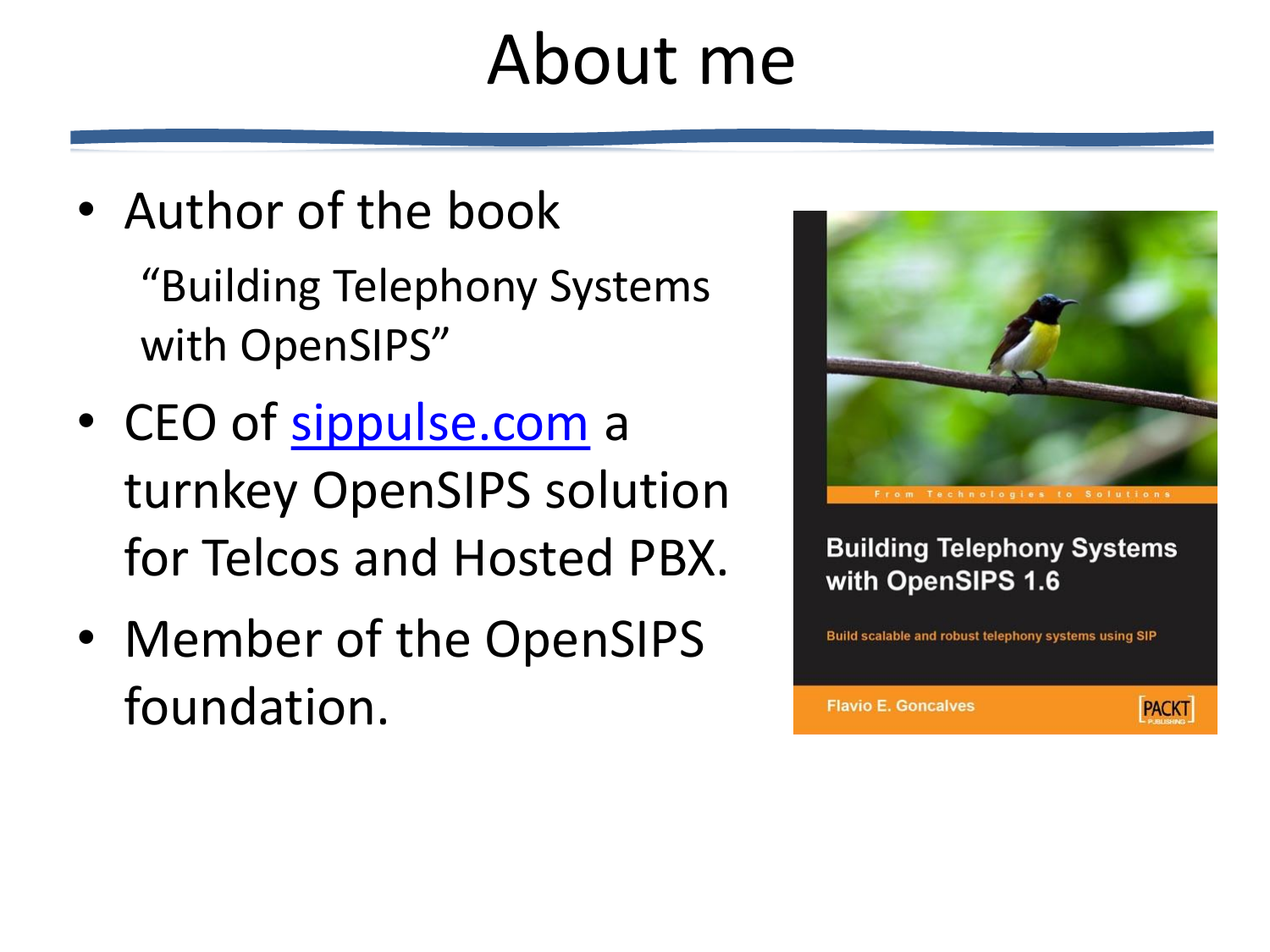### About me

- Author of the book "Building Telephony Systems with OpenSIPS"
- CEO of [sippulse.com](http://www.sippulse.com/) a turnkey OpenSIPS solution for Telcos and Hosted PBX.
- Member of the OpenSIPS foundation.



**Building Telephony Systems** with OpenSIPS 1.6

Build scalable and robust telephony systems using SIP

**Flavio E. Goncalves** 

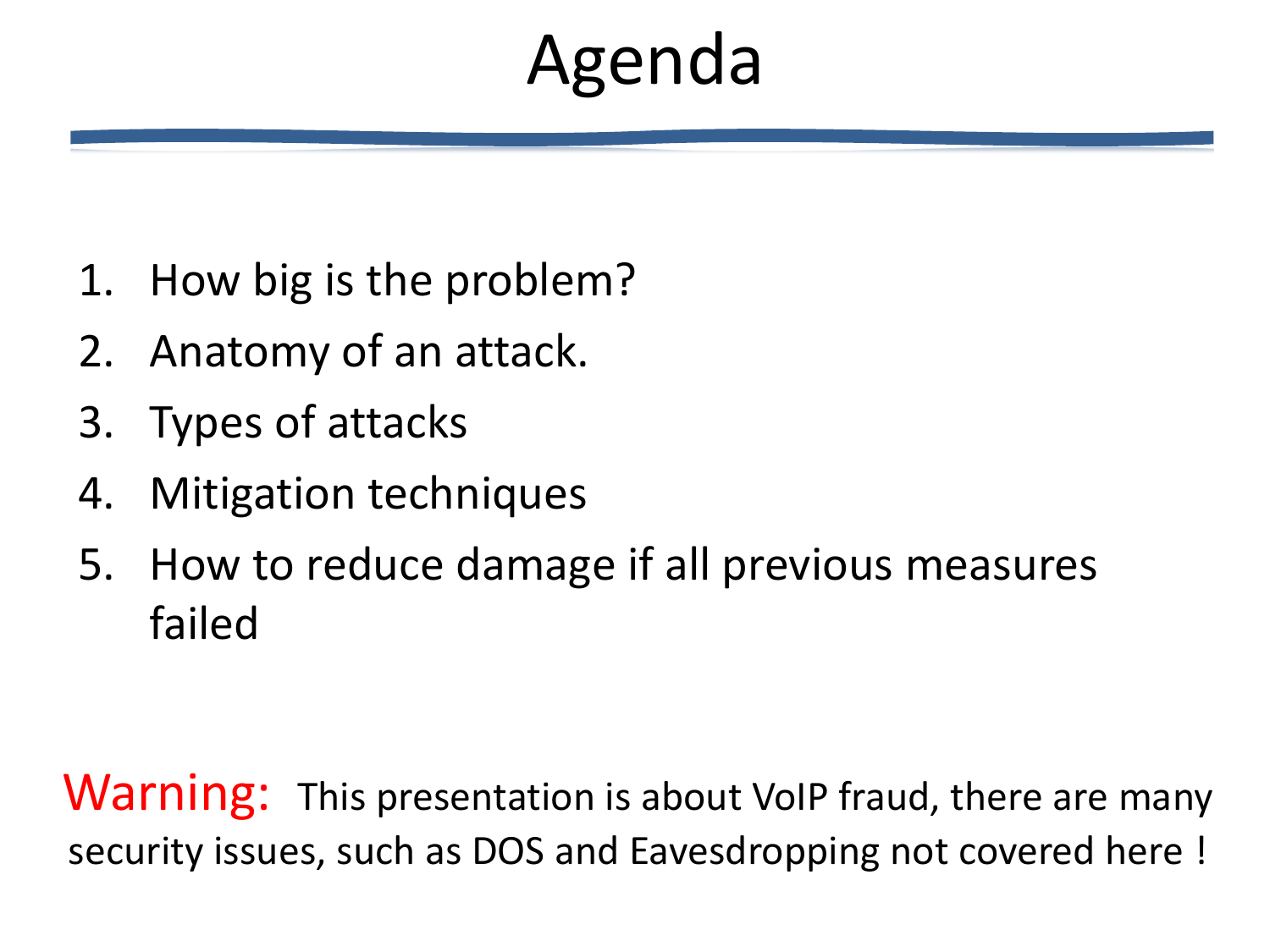## Agenda

- 1. How big is the problem?
- 2. Anatomy of an attack.
- 3. Types of attacks
- 4. Mitigation techniques
- 5. How to reduce damage if all previous measures failed

**Warning:** This presentation is about VoIP fraud, there are many security issues, such as DOS and Eavesdropping not covered here !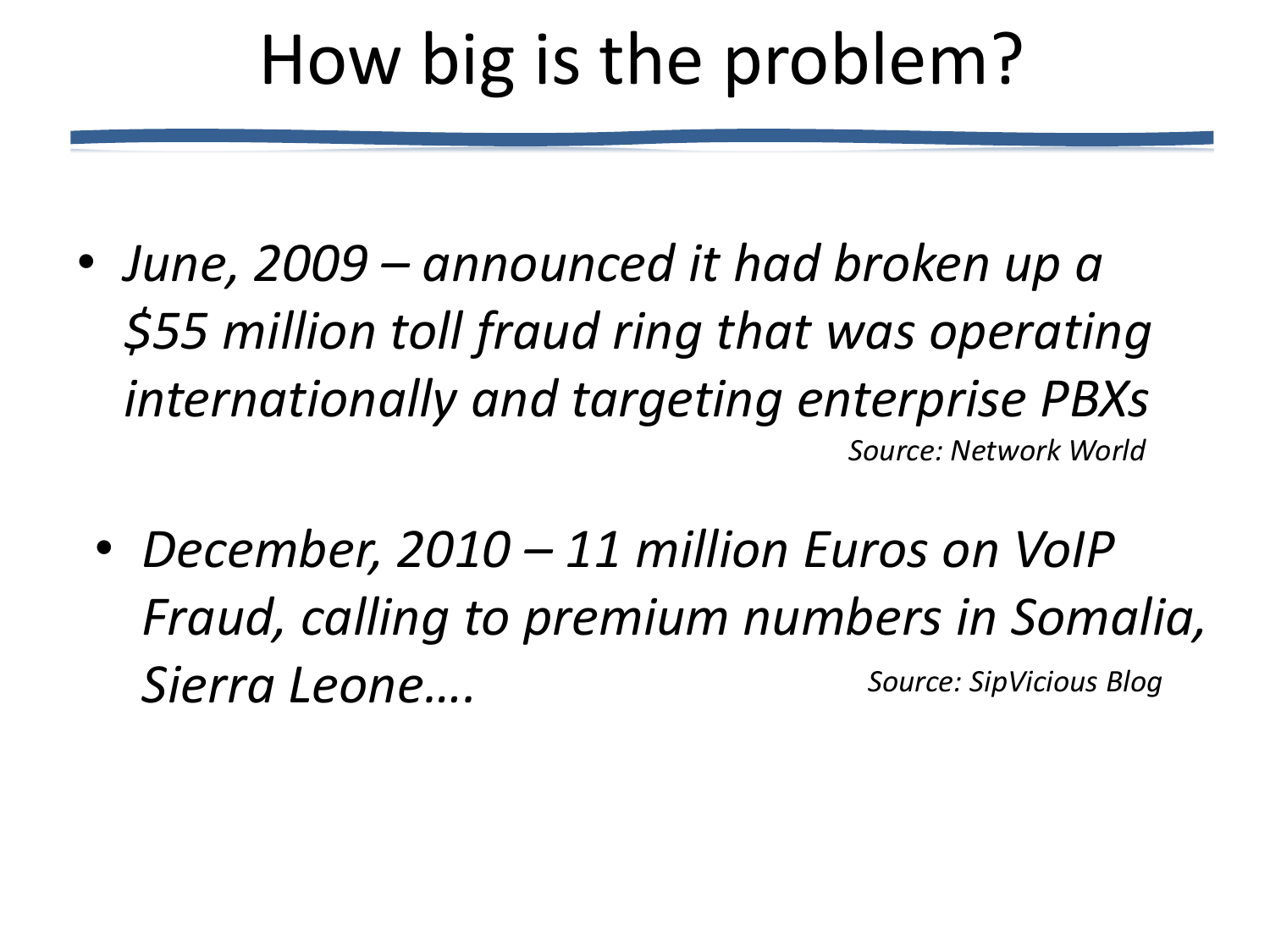## How big is the problem?

- *June, 2009 – announced it had broken up a \$55 million toll fraud ring that was operating internationally and targeting enterprise PBXs Source: Network World*
	- *December, 2010 – 11 million Euros on VoIP Fraud, calling to premium numbers in Somalia, Sierra Leone…. Source: SipVicious Blog*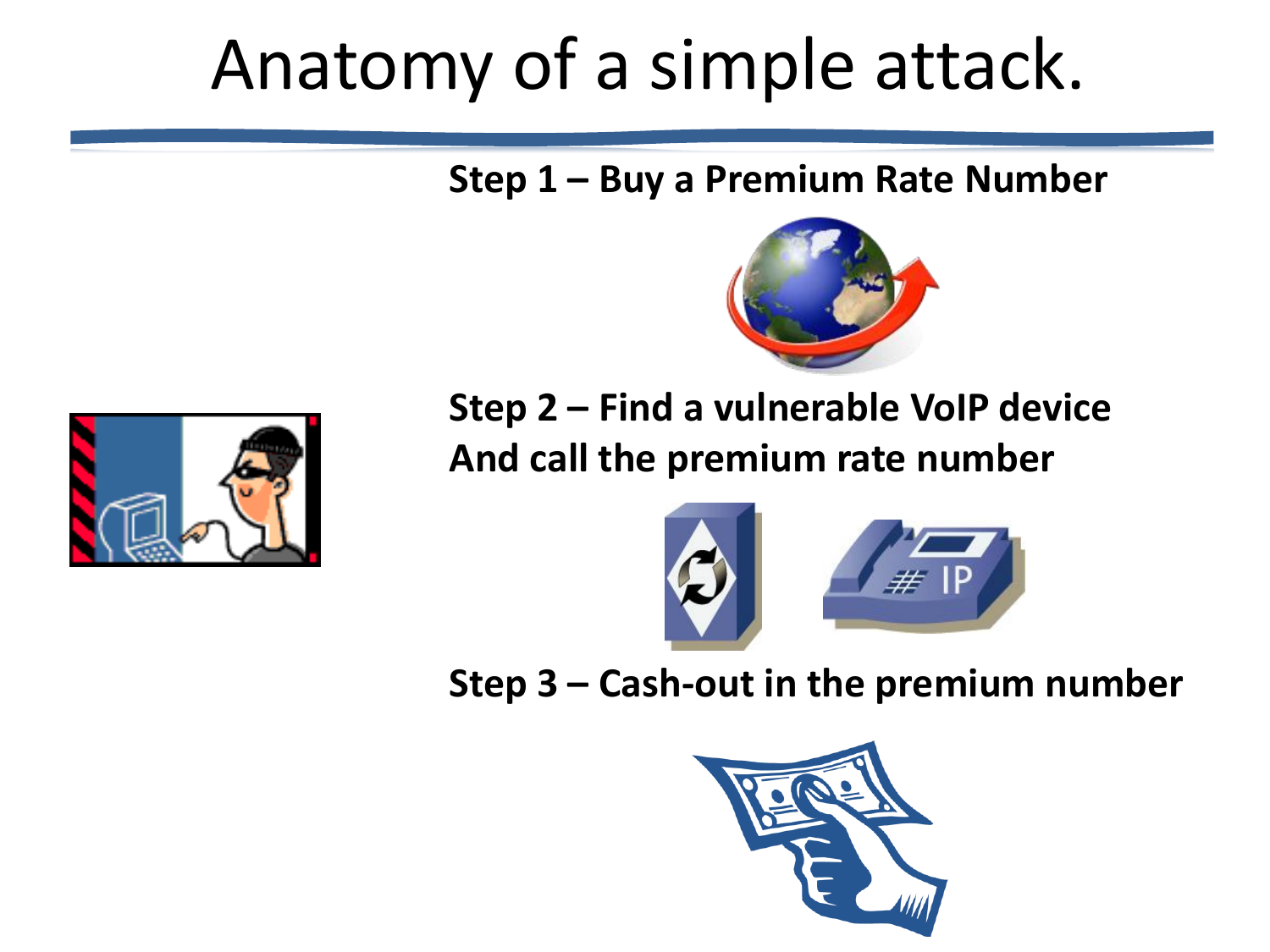## Anatomy of a simple attack.

**Step 1 – Buy a Premium Rate Number**





**Step 2 – Find a vulnerable VoIP device And call the premium rate number**



**Step 3 – Cash-out in the premium number**

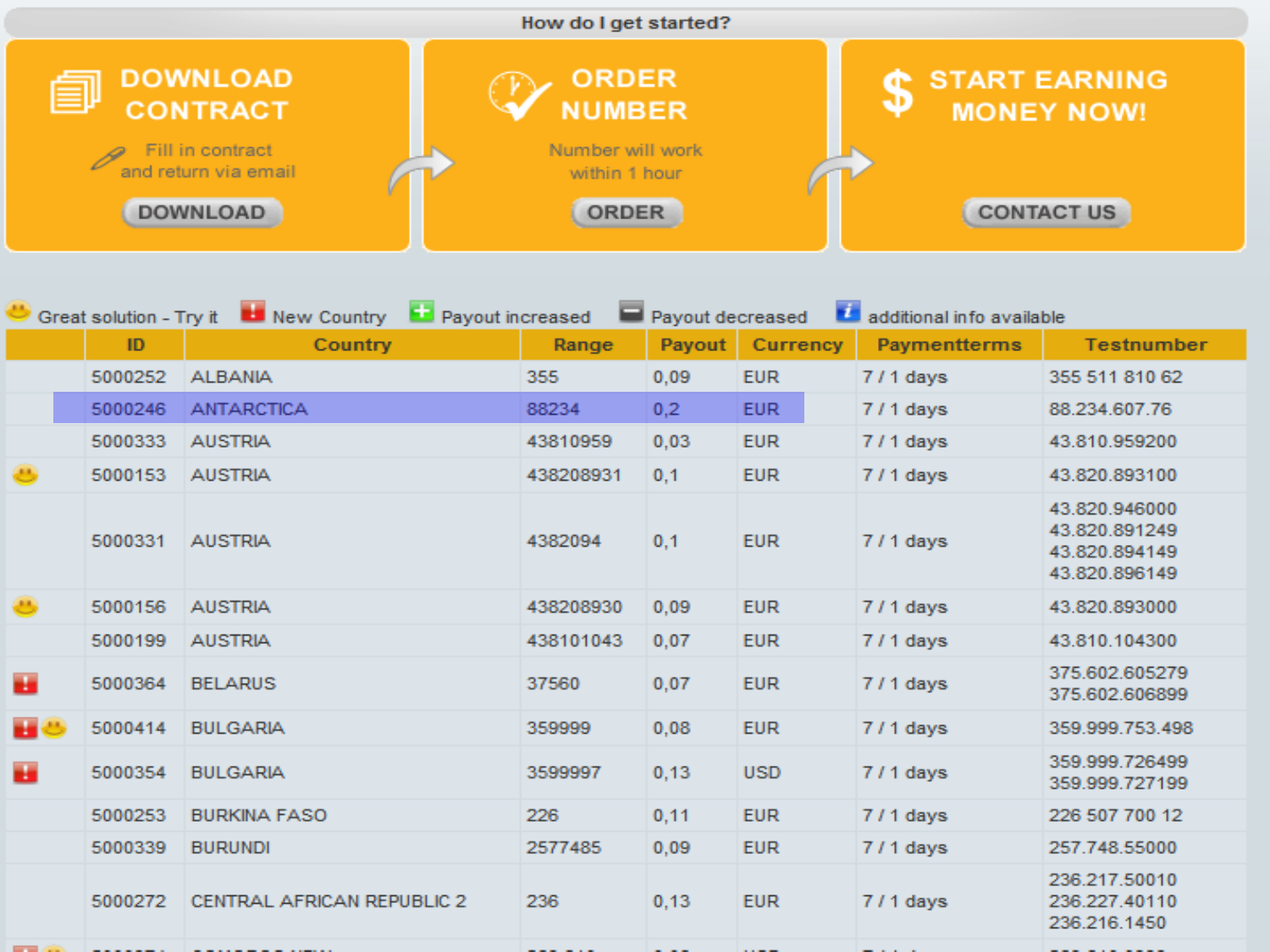

|   | Great solution - Try it La New Country<br>Payout increased |                            |           | z<br>Payout decreased<br>additional info available |            |                     |                                                                  |
|---|------------------------------------------------------------|----------------------------|-----------|----------------------------------------------------|------------|---------------------|------------------------------------------------------------------|
|   | ID                                                         | Country                    | Range     | Payout                                             | Currency   | <b>Paymentterms</b> | <b>Testnumber</b>                                                |
|   | 5000252                                                    | <b>ALBANIA</b>             | 355       | 0,09                                               | <b>EUR</b> | 7/1 days            | 355 511 810 62                                                   |
|   | 5000246                                                    | <b>ANTARCTICA</b>          | 88234     | 0,2                                                | <b>EUR</b> | 7/1 days            | 88.234.607.76                                                    |
|   | 5000333                                                    | <b>AUSTRIA</b>             | 43810959  | 0,03                                               | <b>EUR</b> | $711$ days          | 43.810.959200                                                    |
| ۳ | 5000153                                                    | <b>AUSTRIA</b>             | 438208931 | 0,1                                                | <b>EUR</b> | 7/1 days            | 43.820.893100                                                    |
|   | 5000331                                                    | <b>AUSTRIA</b>             | 4382094   | 0,1                                                | <b>EUR</b> | $711$ days          | 43.820.946000<br>43.820.891249<br>43.820.894149<br>43.820.896149 |
| ₩ | 5000156                                                    | <b>AUSTRIA</b>             | 438208930 | 0.09                                               | <b>EUR</b> | 7/1 days            | 43.820.893000                                                    |
|   | 5000199                                                    | <b>AUSTRIA</b>             | 438101043 | 0,07                                               | <b>EUR</b> | 7/1 days            | 43.810.104300                                                    |
| ш | 5000364                                                    | <b>BELARUS</b>             | 37560     | 0,07                                               | <b>EUR</b> | $711$ days          | 375.602.605279<br>375.602.606899                                 |
| ш | 5000414                                                    | <b>BULGARIA</b>            | 359999    | 0,08                                               | <b>EUR</b> | 7/1 days            | 359.999.753.498                                                  |
| ш | 5000354                                                    | <b>BULGARIA</b>            | 3599997   | 0,13                                               | <b>USD</b> | $711$ days          | 359.999.726499<br>359.999.727199                                 |
|   | 5000253                                                    | <b>BURKINA FASO</b>        | 226       | 0,11                                               | <b>EUR</b> | 7/1 days            | 226 507 700 12                                                   |
|   | 5000339                                                    | <b>BURUNDI</b>             | 2577485   | 0.09                                               | <b>EUR</b> | $711$ days          | 257.748.55000                                                    |
|   | 5000272                                                    | CENTRAL AFRICAN REPUBLIC 2 | 236       | 0,13                                               | <b>EUR</b> | $711$ days          | 236.217.50010<br>236.227.40110<br>236.216.1450                   |
|   |                                                            |                            |           |                                                    |            |                     |                                                                  |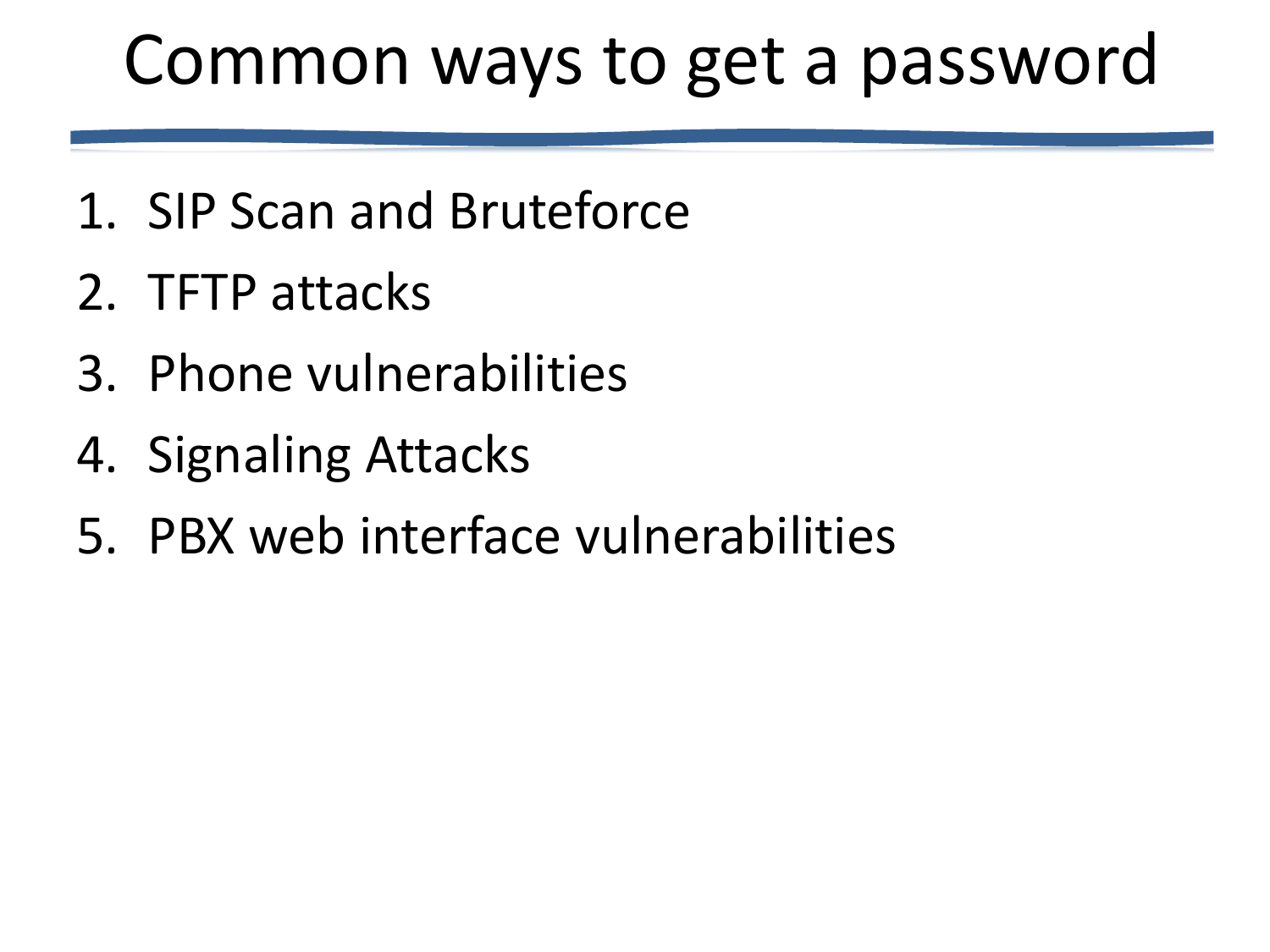### Common ways to get a password

- 1. SIP Scan and Bruteforce
- 2. TFTP attacks
- 3. Phone vulnerabilities
- 4. Signaling Attacks
- 5. PBX web interface vulnerabilities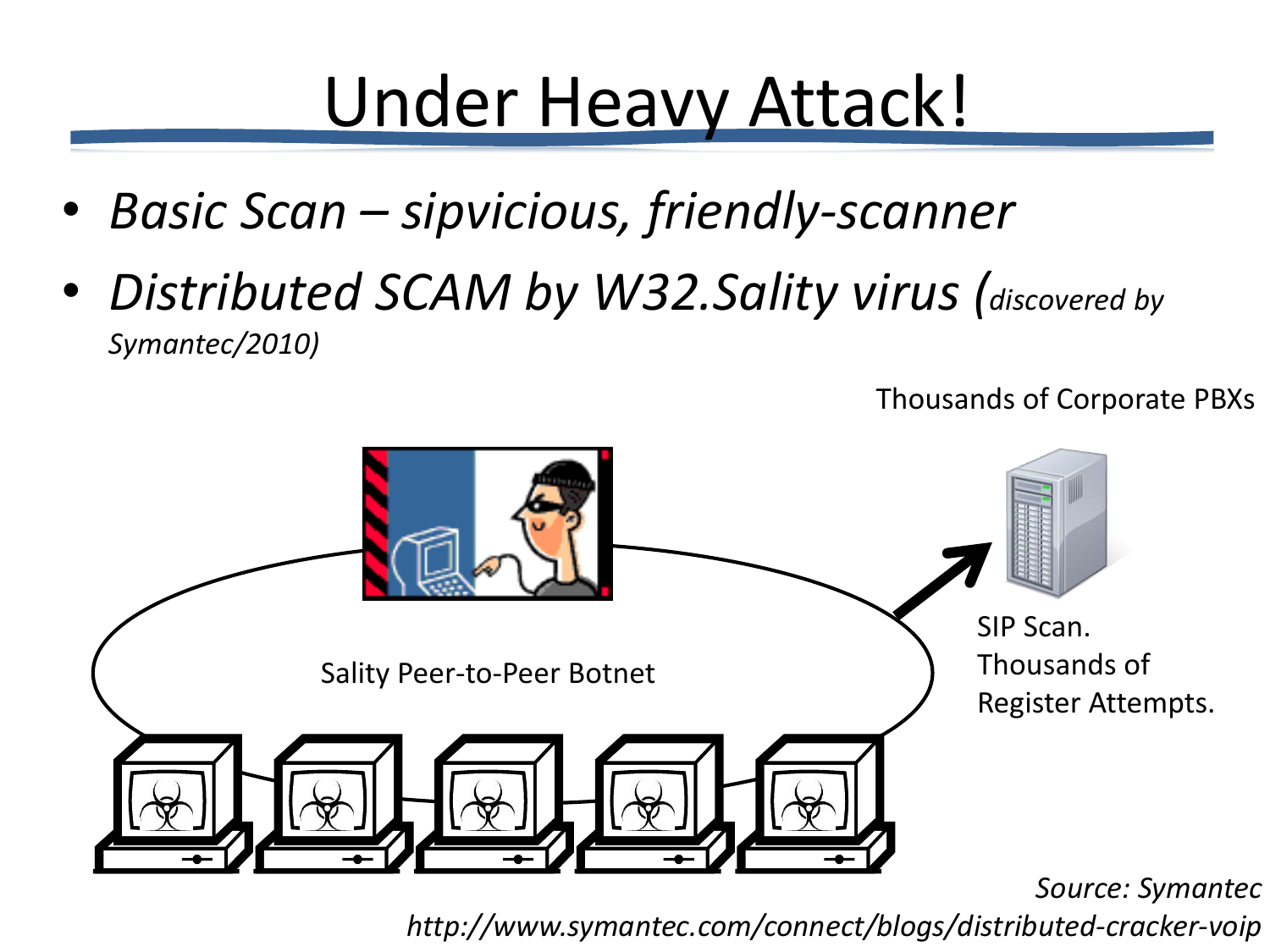## Under Heavy Attack!

- *Basic Scan – sipvicious, friendly-scanner*
- *Distributed SCAM by W32.Sality virus (discovered by Symantec/2010)*



*Source: Symantec* 

Thousands of Corporate PBXs

*http://www.symantec.com/connect/blogs/distributed-cracker-voip*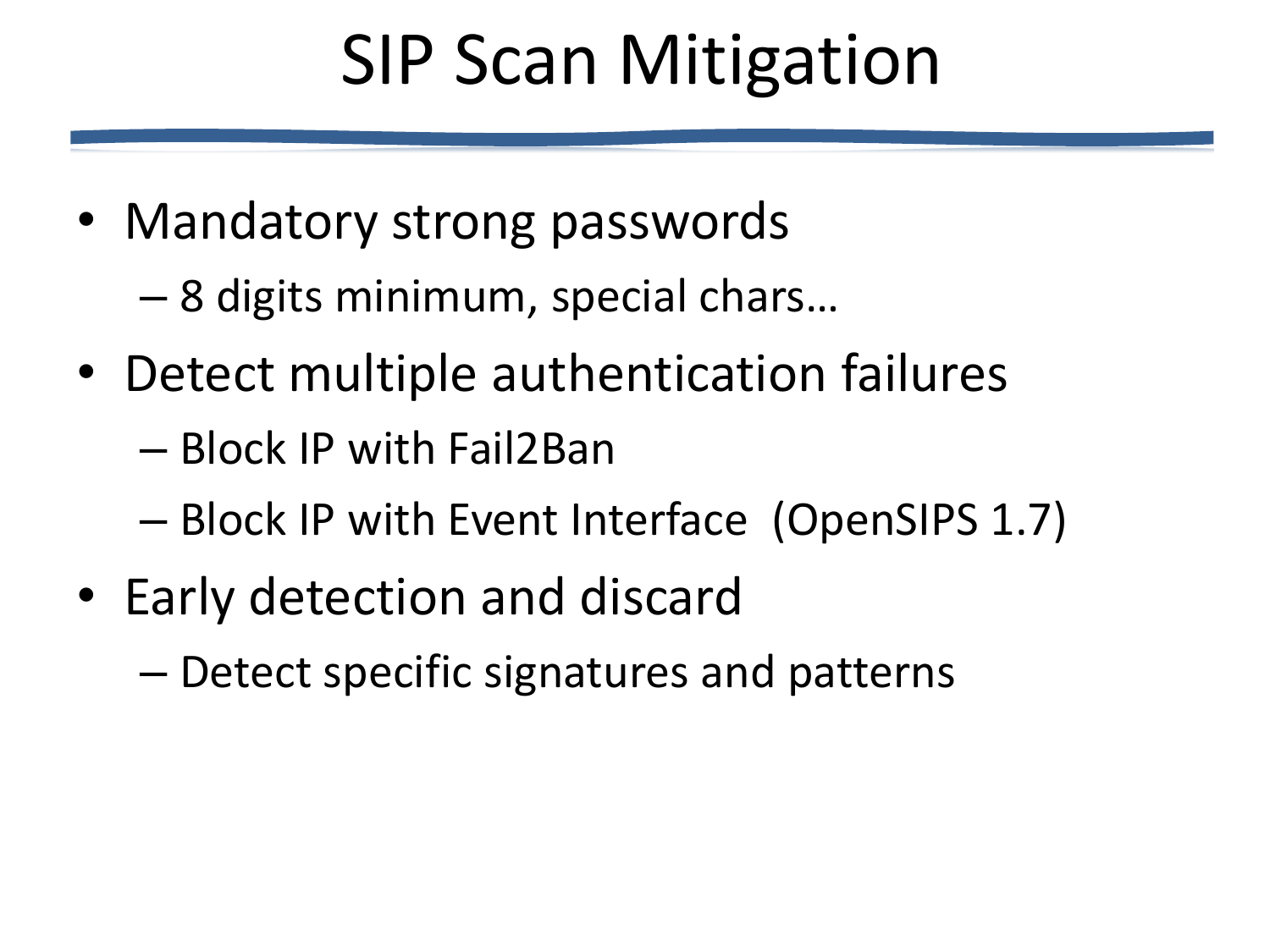# SIP Scan Mitigation

• Mandatory strong passwords

– 8 digits minimum, special chars…

- Detect multiple authentication failures
	- Block IP with Fail2Ban
	- Block IP with Event Interface (OpenSIPS 1.7)
- Early detection and discard
	- Detect specific signatures and patterns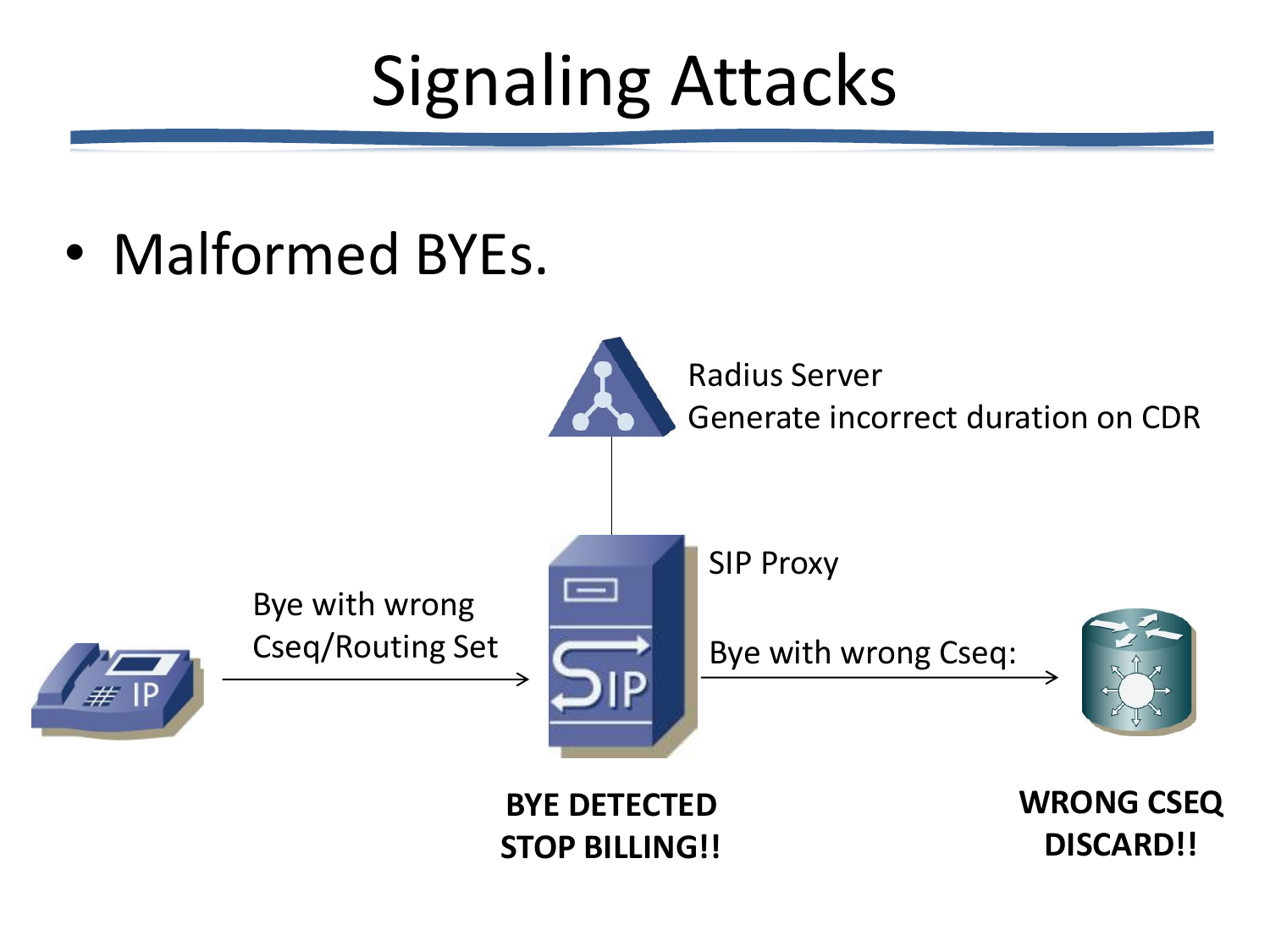# Signaling Attacks

• Malformed BYEs.

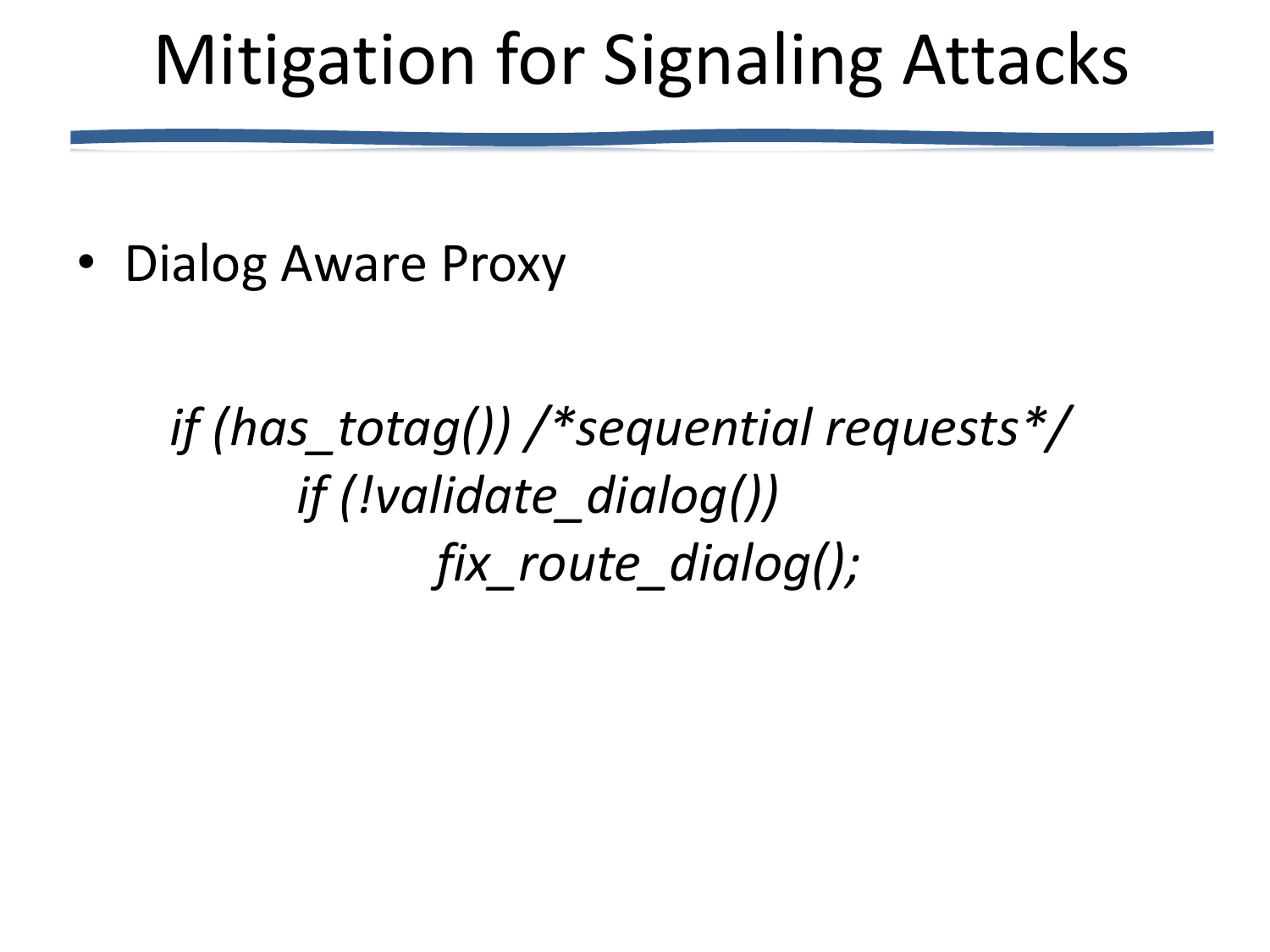### Mitigation for Signaling Attacks

• Dialog Aware Proxy

*if (has\_totag()) /\*sequential requests\*/ if (!validate\_dialog()) fix\_route\_dialog();*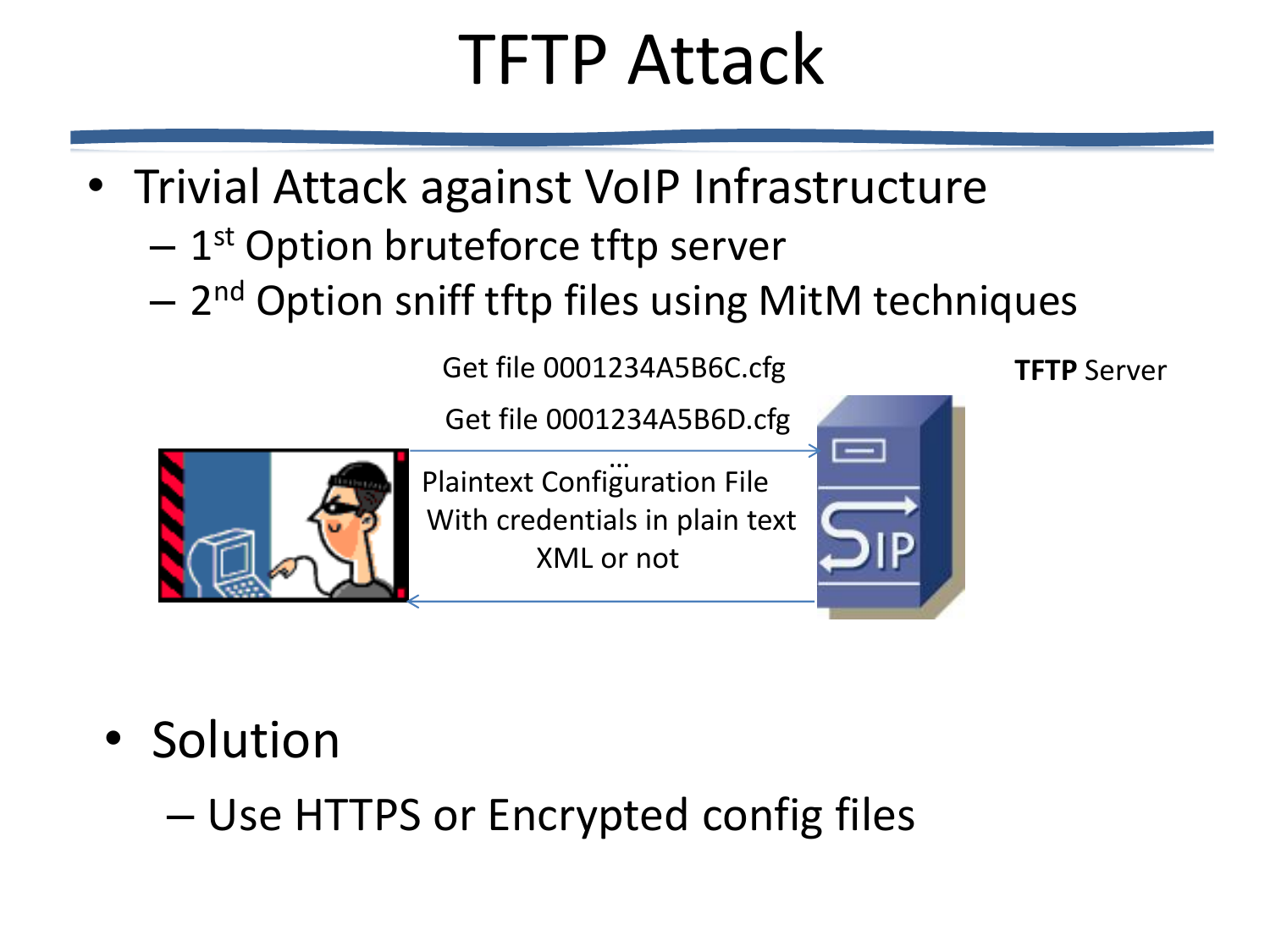## TFTP Attack

- Trivial Attack against VoIP Infrastructure
	- $-$  1<sup>st</sup> Option bruteforce tftp server
	- $-$  2<sup>nd</sup> Option sniff tftp files using MitM techniques

Get file 0001234A5B6C.cfg **TFTP** Server

Get file 0001234A5B6D.cfg



Plaintext Configuration File With credentials in plain text XML or not …



- Solution
	- Use HTTPS or Encrypted config files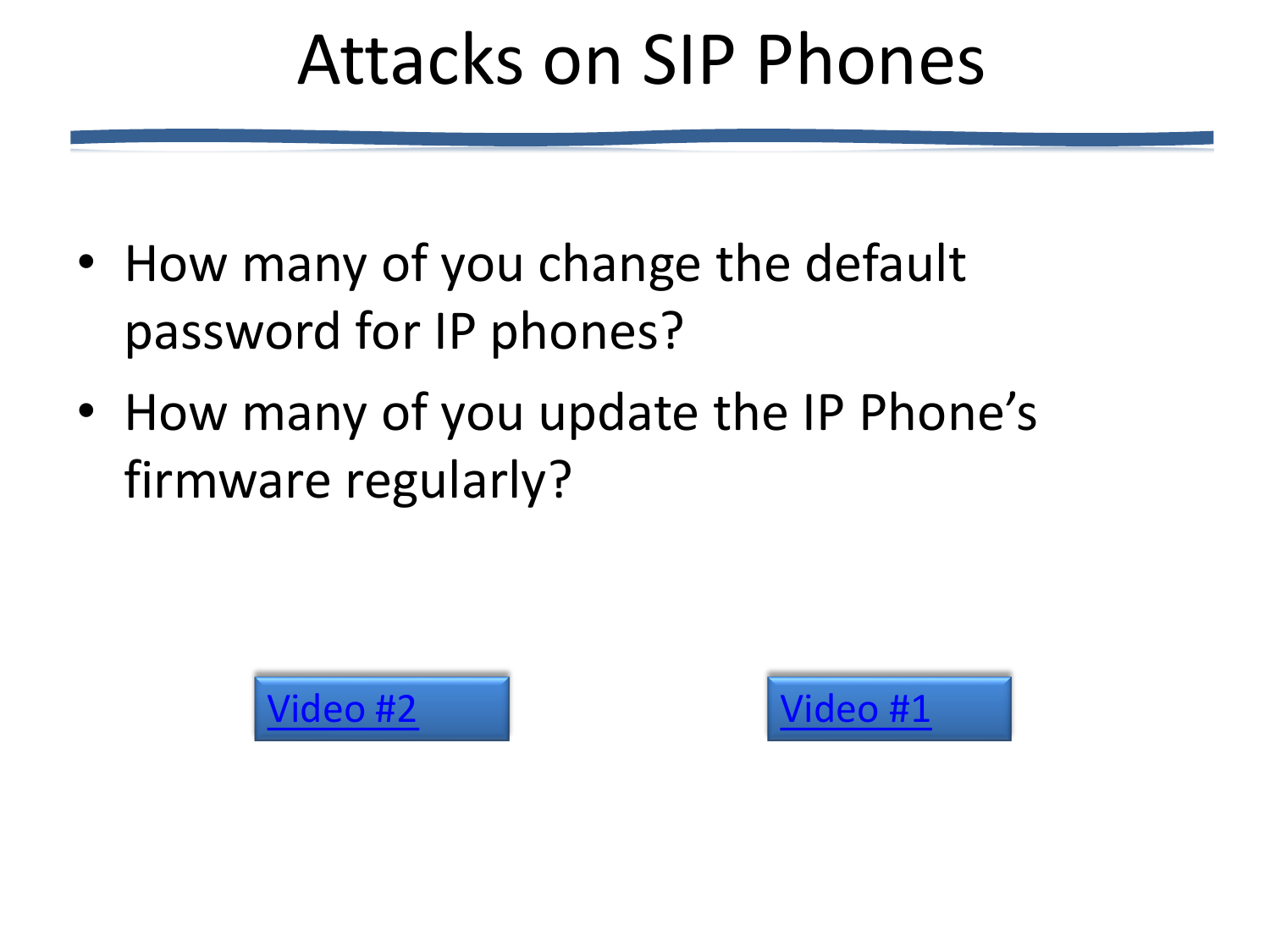### Attacks on SIP Phones

- How many of you change the default password for IP phones?
- How many of you update the IP Phone's firmware regularly?



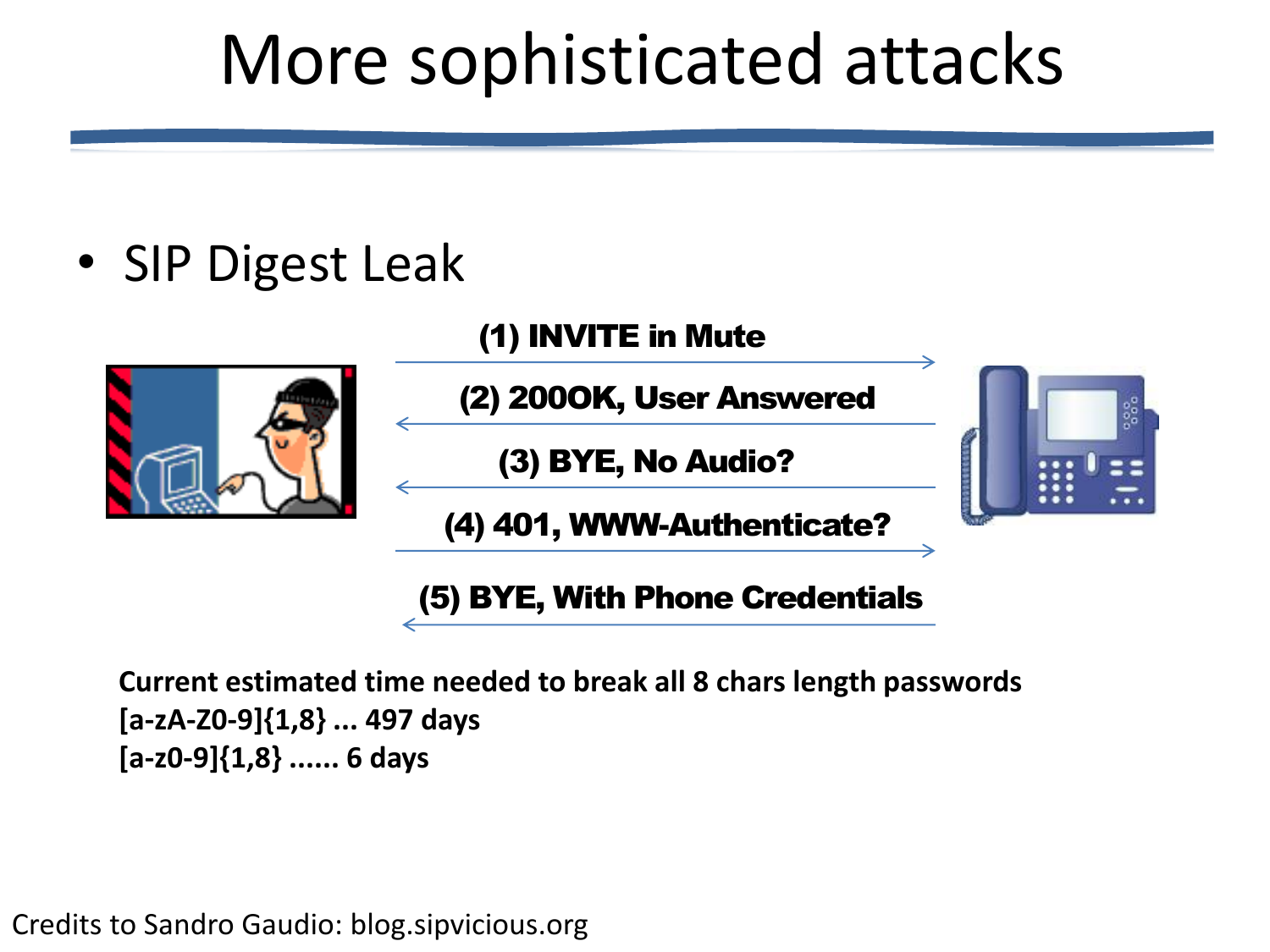### More sophisticated attacks

• SIP Digest Leak

(1) INVITE in Mute



(2) 200OK, User Answered

(3) BYE, No Audio?

(4) 401, WWW-Authenticate?

(5) BYE, With Phone Credentials

**Current estimated time needed to break all 8 chars length passwords [a-zA-Z0-9]{1,8} ... 497 days [a-z0-9]{1,8} ...... 6 days**

Credits to Sandro Gaudio: blog.sipvicious.org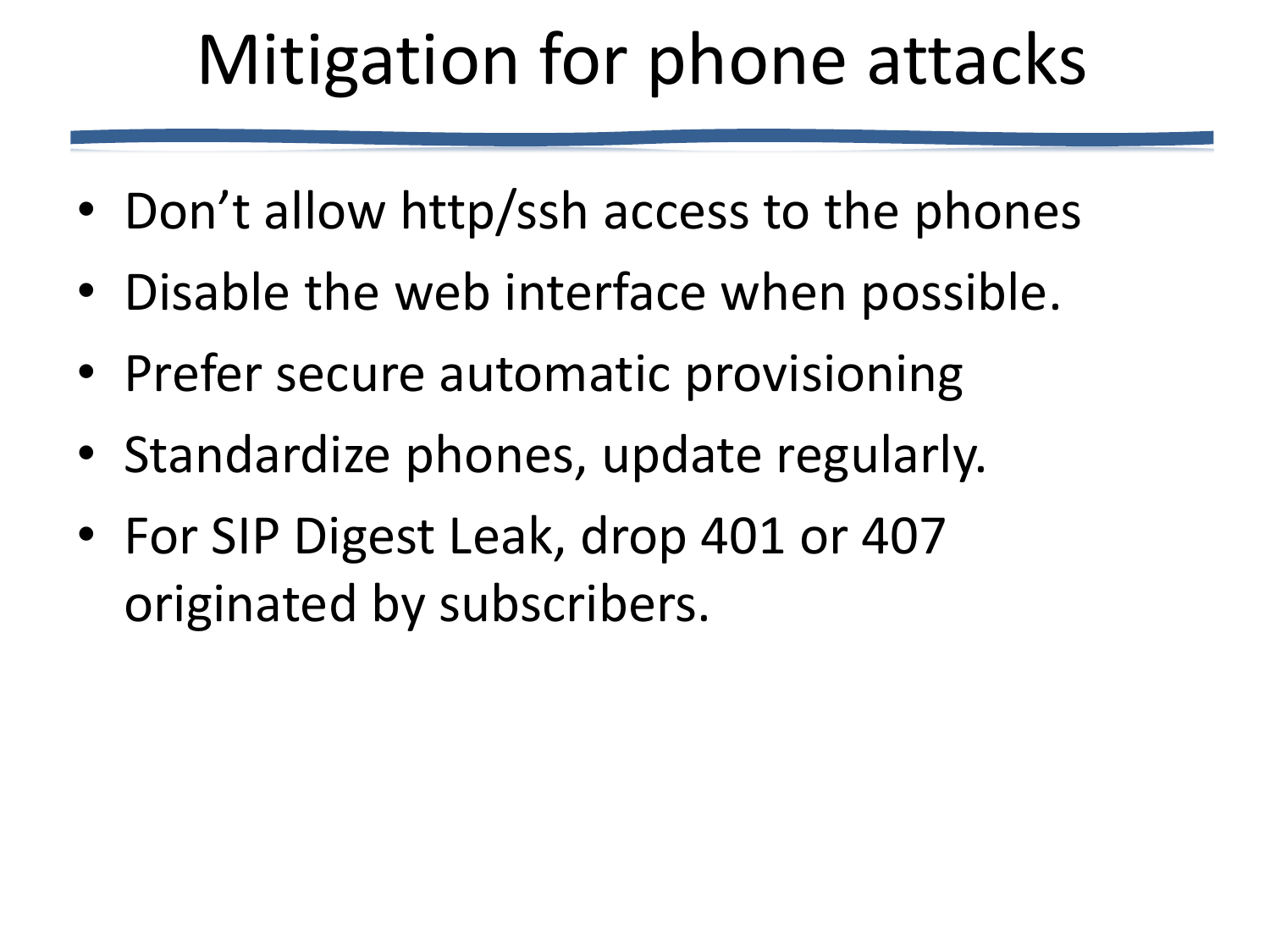# Mitigation for phone attacks

- Don't allow http/ssh access to the phones
- Disable the web interface when possible.
- Prefer secure automatic provisioning
- Standardize phones, update regularly.
- For SIP Digest Leak, drop 401 or 407 originated by subscribers.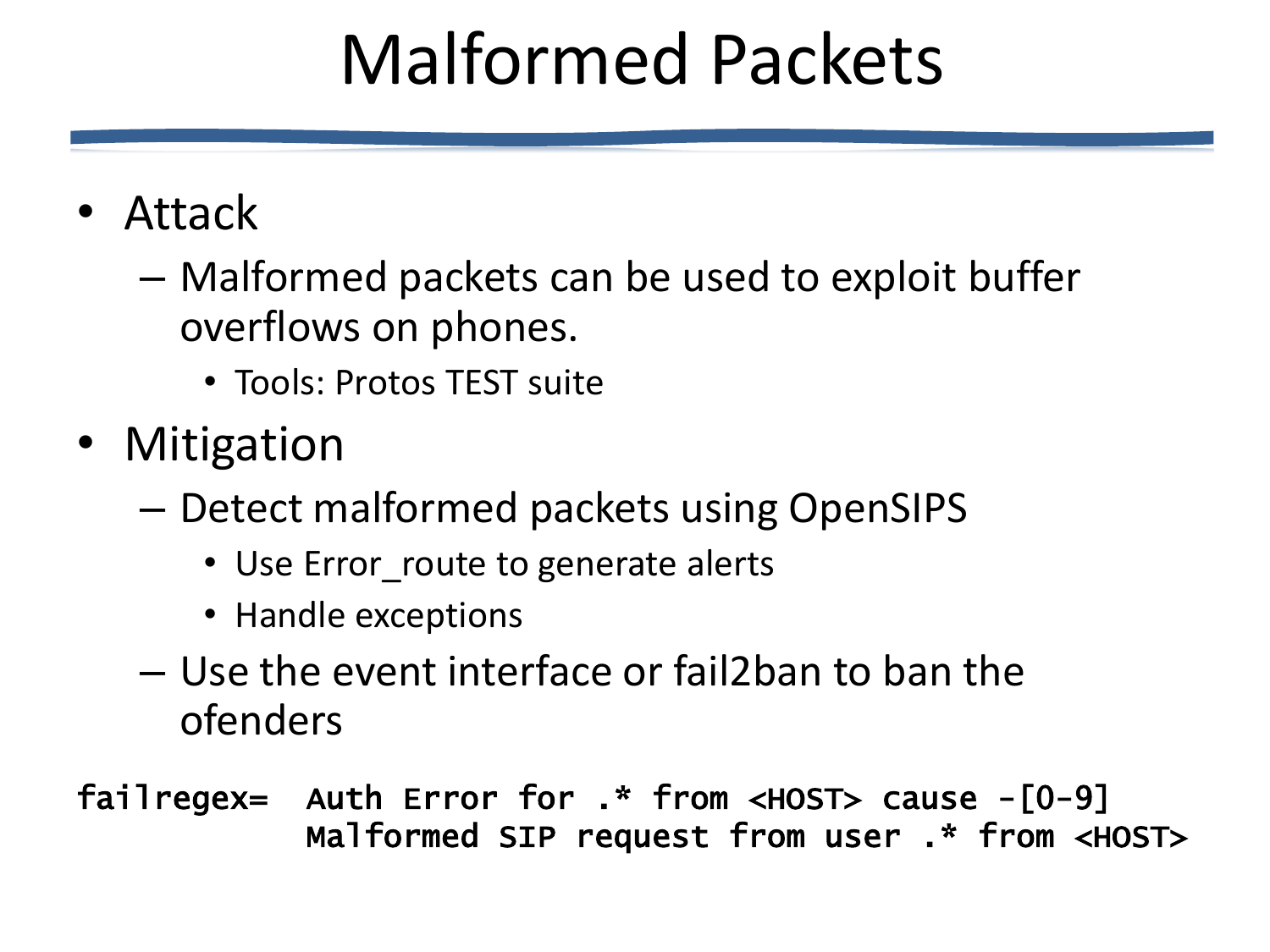## Malformed Packets

- Attack
	- Malformed packets can be used to exploit buffer overflows on phones.
		- Tools: Protos TEST suite
- Mitigation
	- Detect malformed packets using OpenSIPS
		- Use Error\_route to generate alerts
		- Handle exceptions
	- Use the event interface or fail2ban to ban the ofenders
- failregex= Auth Error for .\* from <HOST> cause -[0-9] Malformed SIP request from user .\* from <HOST>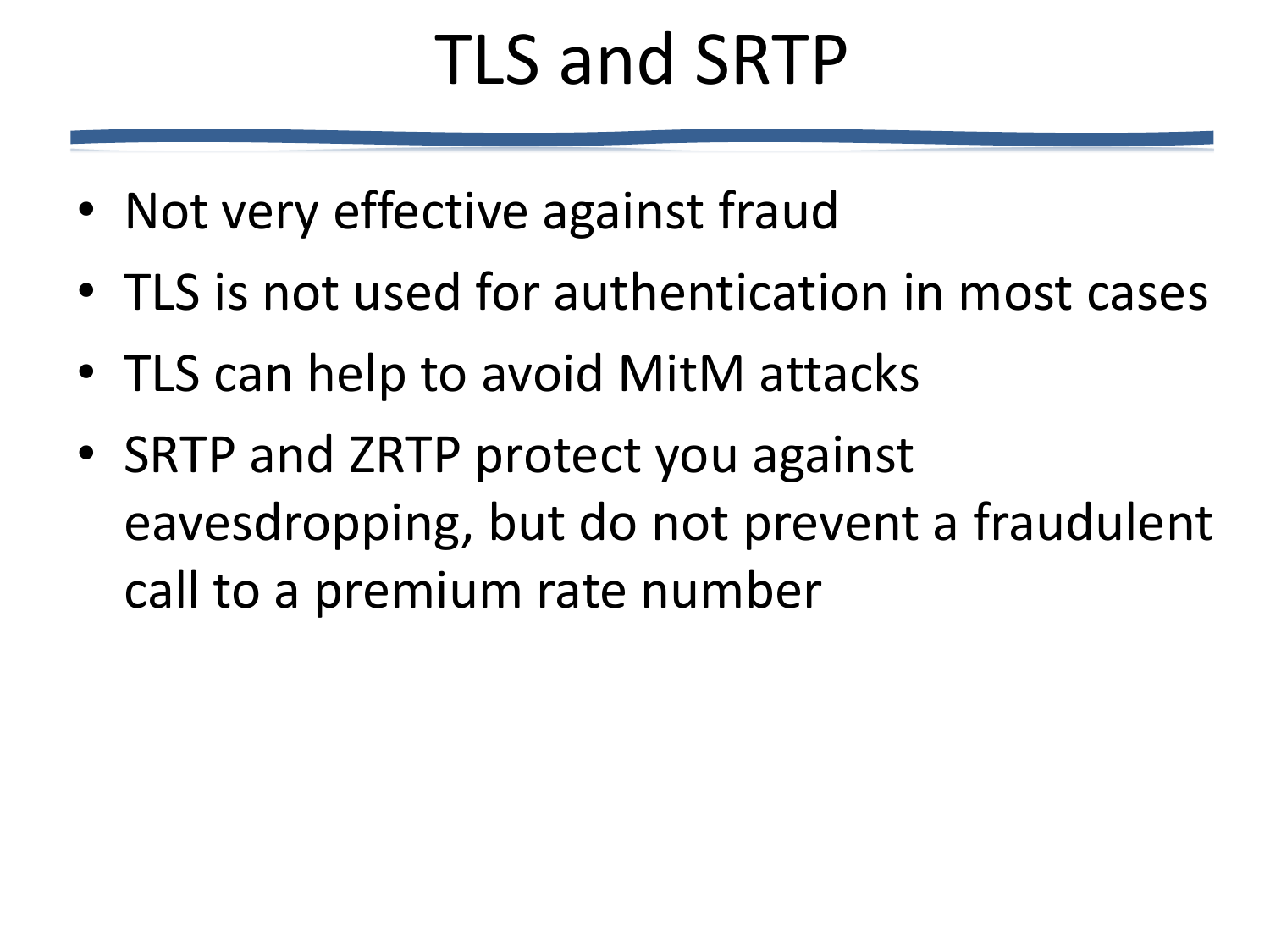## TLS and SRTP

- Not very effective against fraud
- TLS is not used for authentication in most cases
- TLS can help to avoid MitM attacks
- SRTP and ZRTP protect you against eavesdropping, but do not prevent a fraudulent call to a premium rate number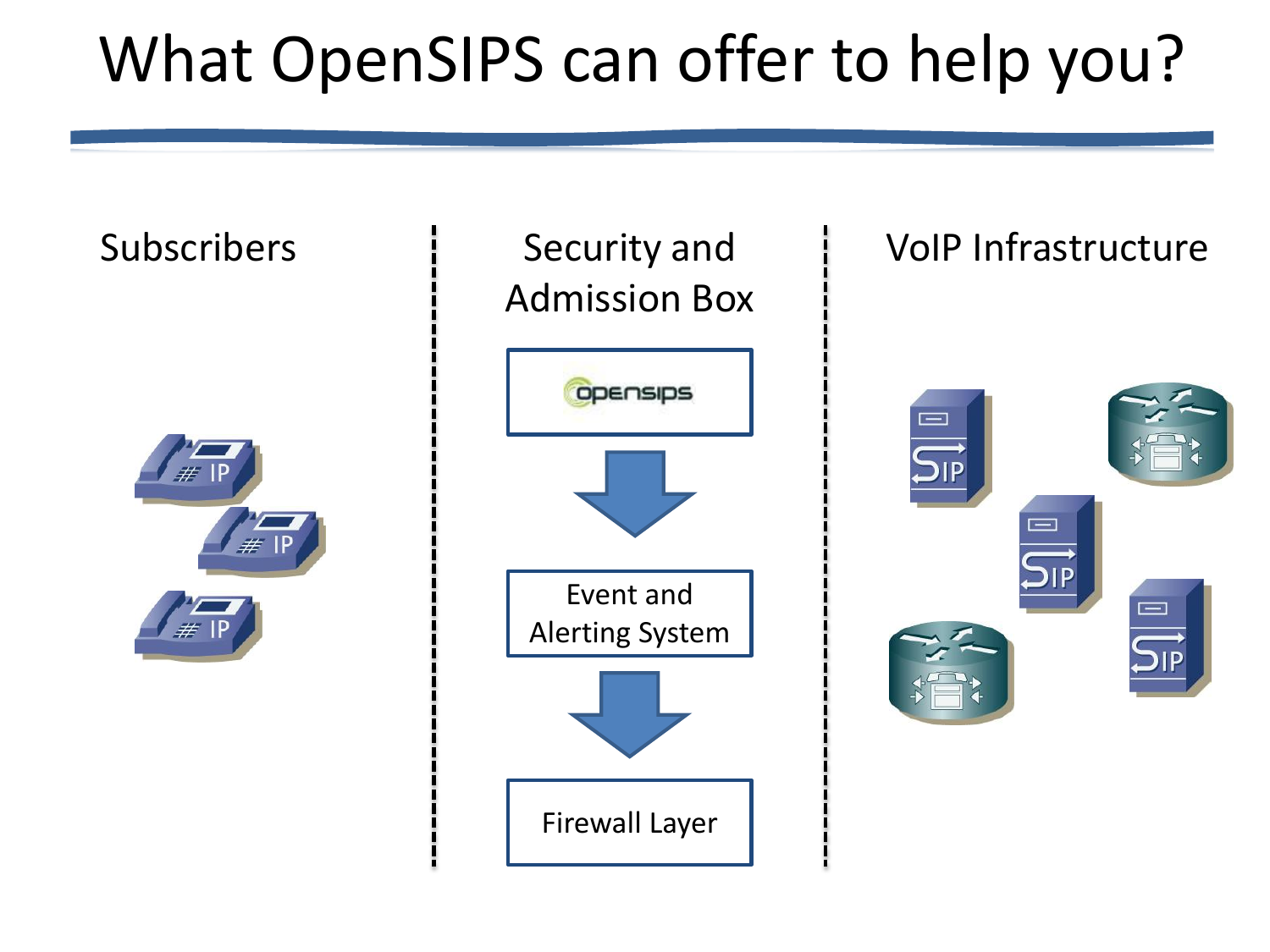#### What OpenSIPS can offer to help you?

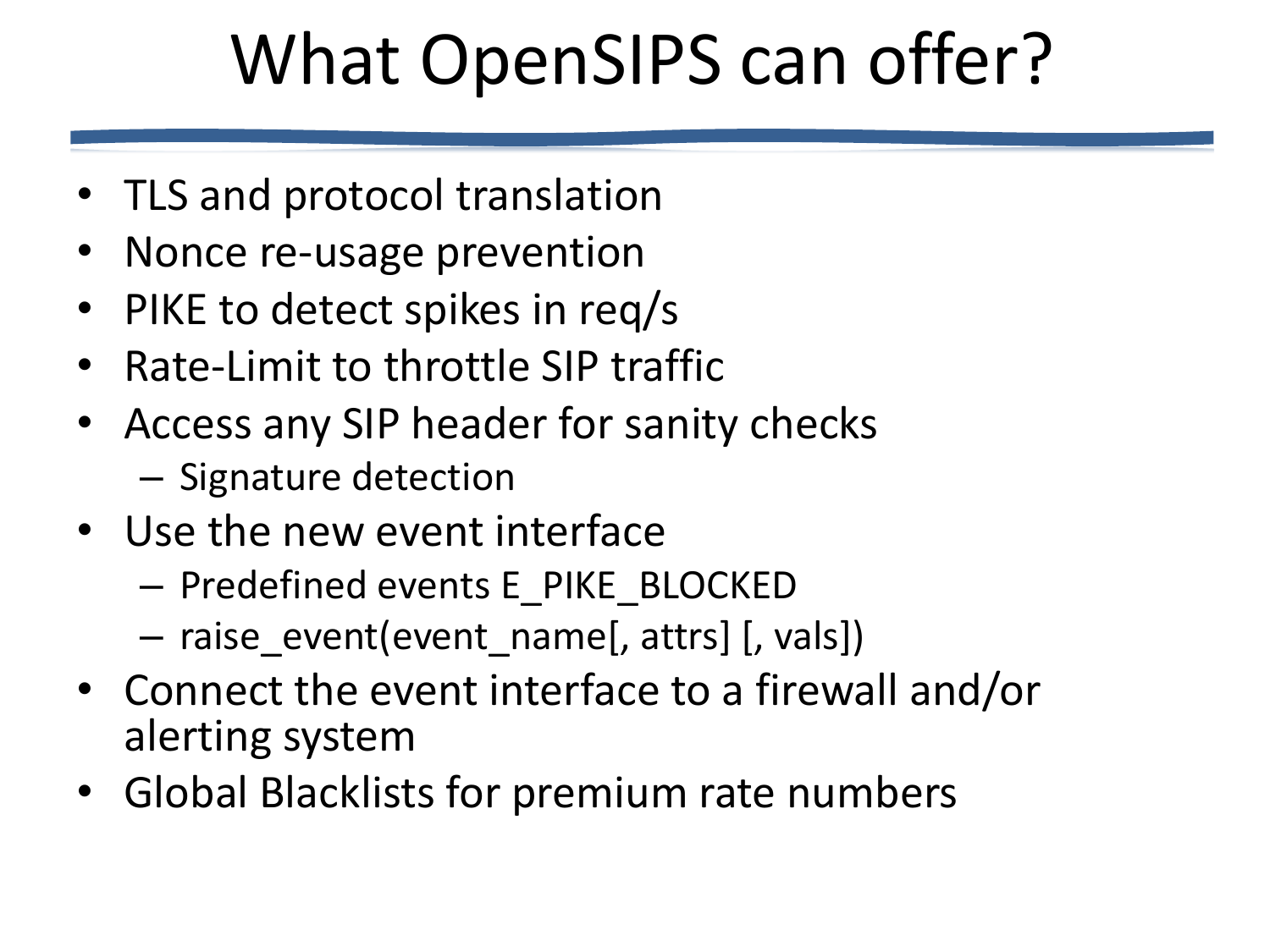## What OpenSIPS can offer?

- TLS and protocol translation
- Nonce re-usage prevention
- PIKE to detect spikes in req/s
- Rate-Limit to throttle SIP traffic
- Access any SIP header for sanity checks
	- Signature detection
- Use the new event interface
	- Predefined events E\_PIKE\_BLOCKED
	- raise\_event(event\_name[, attrs] [, vals])
- Connect the event interface to a firewall and/or alerting system
- Global Blacklists for premium rate numbers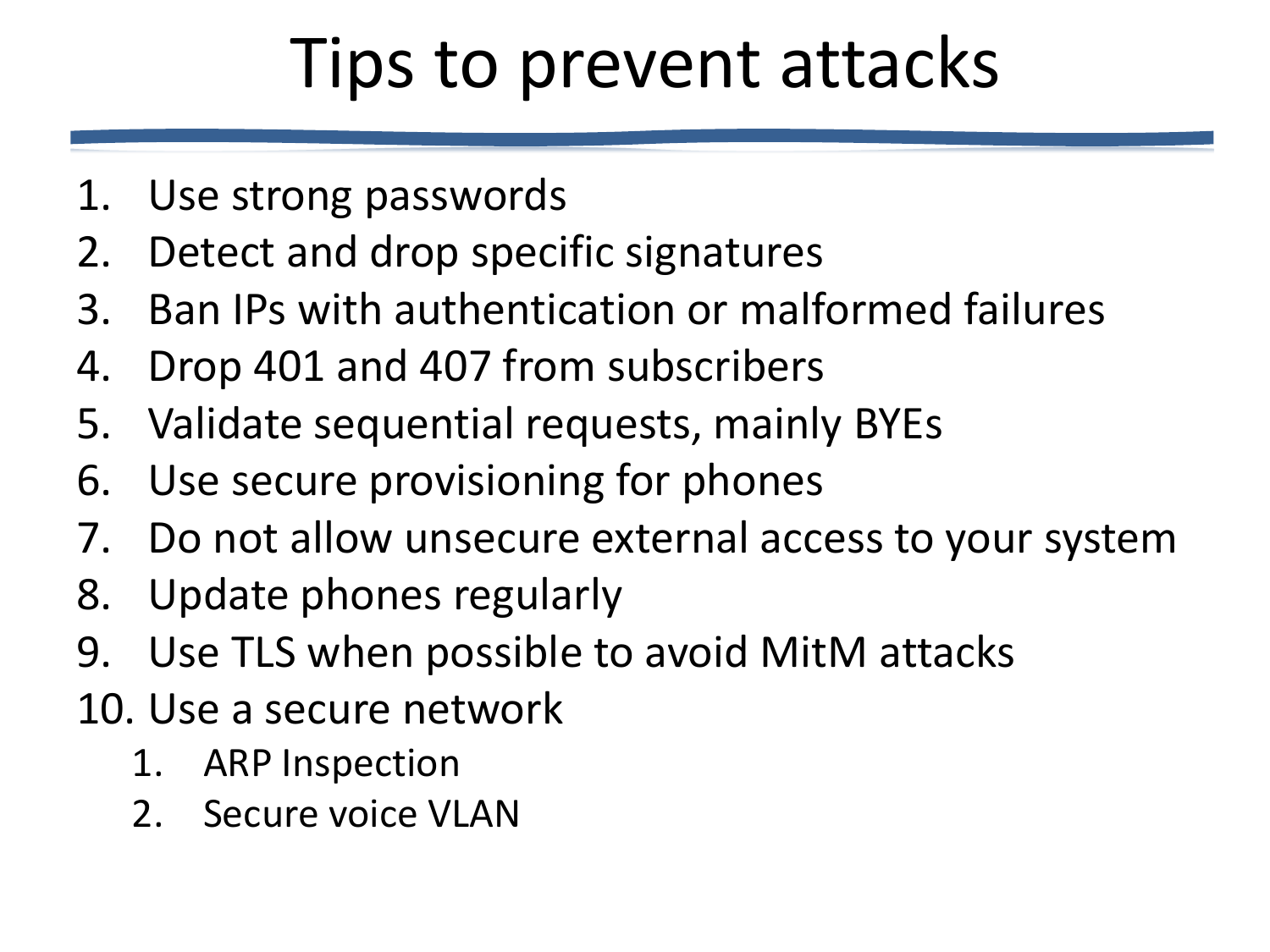## Tips to prevent attacks

- 1. Use strong passwords
- 2. Detect and drop specific signatures
- 3. Ban IPs with authentication or malformed failures
- 4. Drop 401 and 407 from subscribers
- 5. Validate sequential requests, mainly BYEs
- 6. Use secure provisioning for phones
- 7. Do not allow unsecure external access to your system
- 8. Update phones regularly
- 9. Use TLS when possible to avoid MitM attacks
- 10. Use a secure network
	- 1. ARP Inspection
	- 2. Secure voice VLAN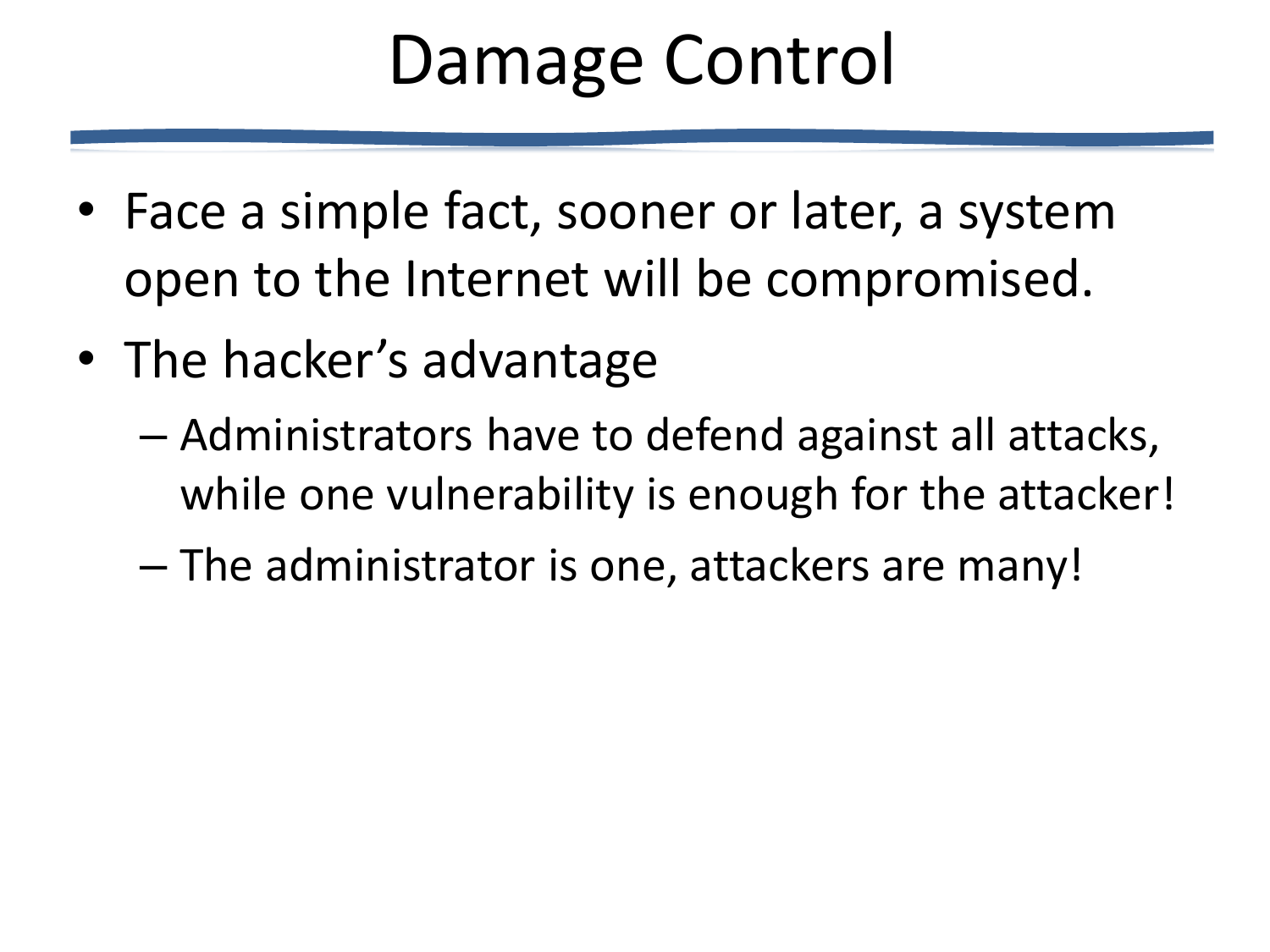## Damage Control

- Face a simple fact, sooner or later, a system open to the Internet will be compromised.
- The hacker's advantage
	- Administrators have to defend against all attacks, while one vulnerability is enough for the attacker!
	- The administrator is one, attackers are many!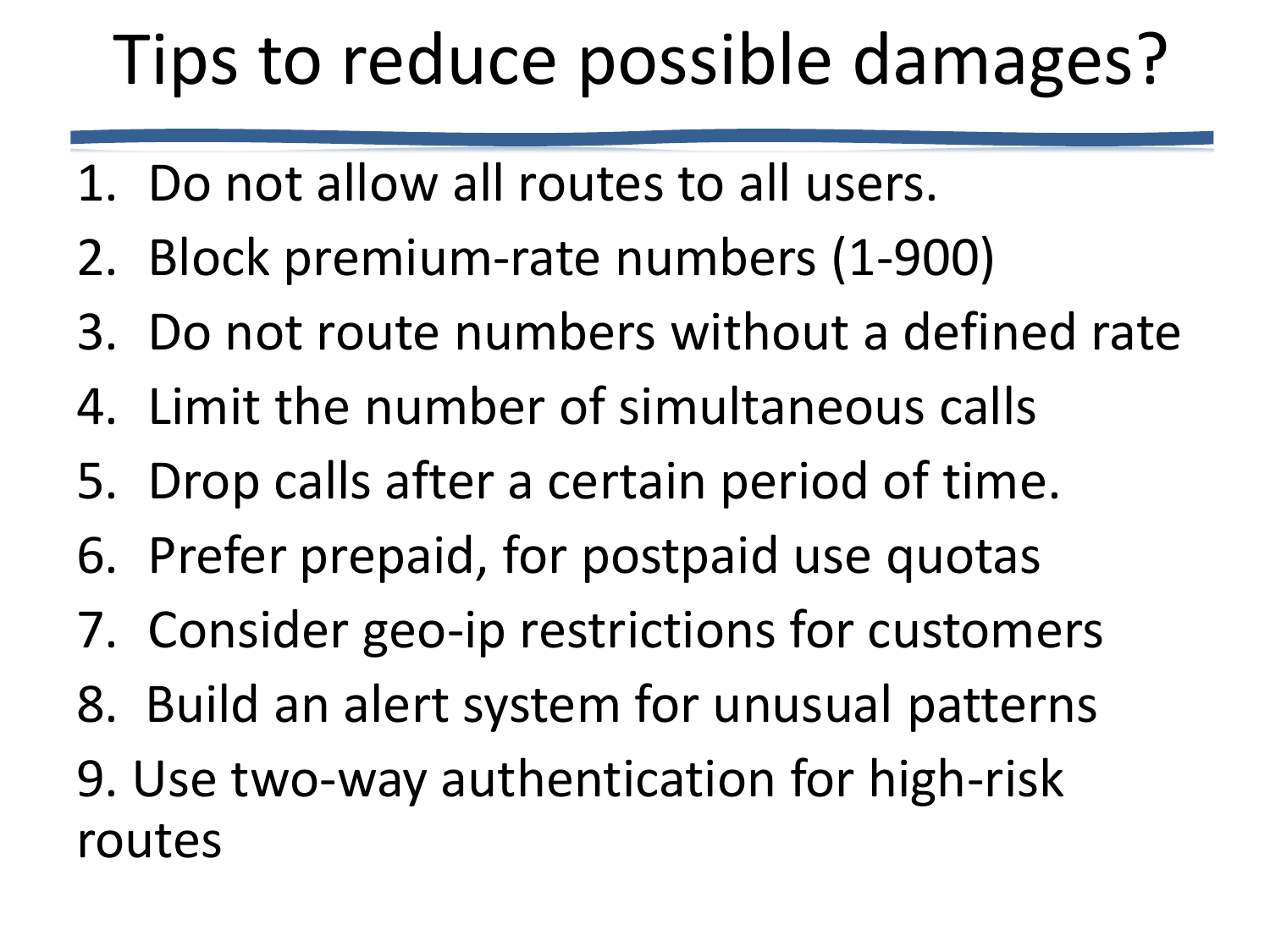# Tips to reduce possible damages?

- 1. Do not allow all routes to all users.
- 2. Block premium-rate numbers (1-900)
- 3. Do not route numbers without a defined rate
- 4. Limit the number of simultaneous calls
- 5. Drop calls after a certain period of time.
- 6. Prefer prepaid, for postpaid use quotas
- 7. Consider geo-ip restrictions for customers
- 8. Build an alert system for unusual patterns
- 9. Use two-way authentication for high-risk routes